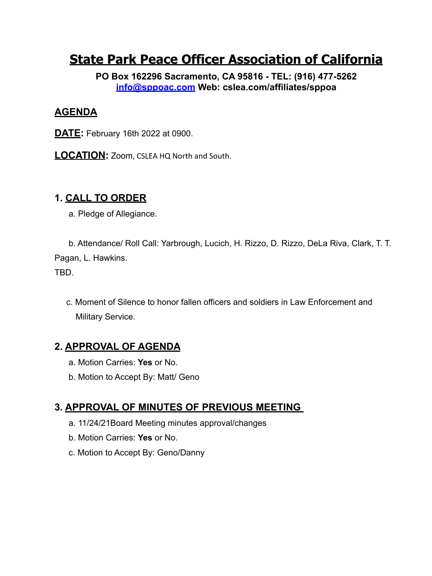# **State Park Peace Officer Association of California**

**PO Box 162296 Sacramento, CA 95816 - TEL: (916) 477-5262 [info@sppoac.com](mailto:INFO@SPPOAC.com) Web: cslea.com/affiliates/sppoa** 

# **AGENDA**

- **DATE:** February 16th 2022 at 0900.
- **LOCATION:** Zoom, CSLEA HQ North and South.

## **1. CALL TO ORDER**

a. Pledge of Allegiance.

b. Attendance/ Roll Call: Yarbrough, Lucich, H. Rizzo, D. Rizzo, DeLa Riva, Clark, T. T. Pagan, L. Hawkins.

TBD.

c. Moment of Silence to honor fallen officers and soldiers in Law Enforcement and Military Service.

# **2. APPROVAL OF AGENDA**

- a. Motion Carries: **Yes** or No.
- b. Motion to Accept By: Matt/ Geno

# **3. APPROVAL OF MINUTES OF PREVIOUS MEETING**

- a. 11/24/21Board Meeting minutes approval/changes
- b. Motion Carries: **Yes** or No.
- c. Motion to Accept By: Geno/Danny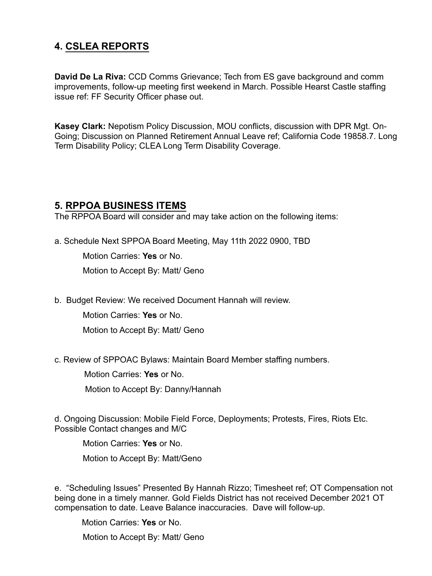### **4. CSLEA REPORTS**

**David De La Riva:** CCD Comms Grievance; Tech from ES gave background and comm improvements, follow-up meeting first weekend in March. Possible Hearst Castle staffing issue ref: FF Security Officer phase out.

**Kasey Clark:** Nepotism Policy Discussion, MOU conflicts, discussion with DPR Mgt. On-Going; Discussion on Planned Retirement Annual Leave ref; California Code 19858.7. Long Term Disability Policy; CLEA Long Term Disability Coverage.

#### **5. RPPOA BUSINESS ITEMS**

The RPPOA Board will consider and may take action on the following items:

a. Schedule Next SPPOA Board Meeting, May 11th 2022 0900, TBD

Motion Carries: **Yes** or No.

Motion to Accept By: Matt/ Geno

b. Budget Review: We received Document Hannah will review.

Motion Carries: **Yes** or No.

Motion to Accept By: Matt/ Geno

c. Review of SPPOAC Bylaws: Maintain Board Member staffing numbers.

Motion Carries: **Yes** or No.

Motion to Accept By: Danny/Hannah

d. Ongoing Discussion: Mobile Field Force, Deployments; Protests, Fires, Riots Etc. Possible Contact changes and M/C

Motion Carries: **Yes** or No.

Motion to Accept By: Matt/Geno

e. "Scheduling Issues" Presented By Hannah Rizzo; Timesheet ref; OT Compensation not being done in a timely manner. Gold Fields District has not received December 2021 OT compensation to date. Leave Balance inaccuracies. Dave will follow-up.

Motion Carries: **Yes** or No.

Motion to Accept By: Matt/ Geno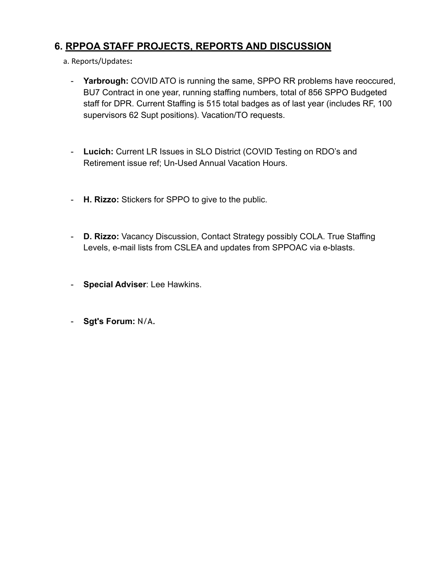### **6. RPPOA STAFF PROJECTS, REPORTS AND DISCUSSION**

- a. Reports/Updates**:**
	- **Yarbrough:** COVID ATO is running the same, SPPO RR problems have reoccured, BU7 Contract in one year, running staffing numbers, total of 856 SPPO Budgeted staff for DPR. Current Staffing is 515 total badges as of last year (includes RF, 100 supervisors 62 Supt positions). Vacation/TO requests.
	- **Lucich:** Current LR Issues in SLO District (COVID Testing on RDO's and Retirement issue ref; Un-Used Annual Vacation Hours.
	- **H. Rizzo:** Stickers for SPPO to give to the public.
	- **D. Rizzo:** Vacancy Discussion, Contact Strategy possibly COLA. True Staffing Levels, e-mail lists from CSLEA and updates from SPPOAC via e-blasts.
	- **Special Adviser**: Lee Hawkins.
	- **Sgt's Forum:** N/A.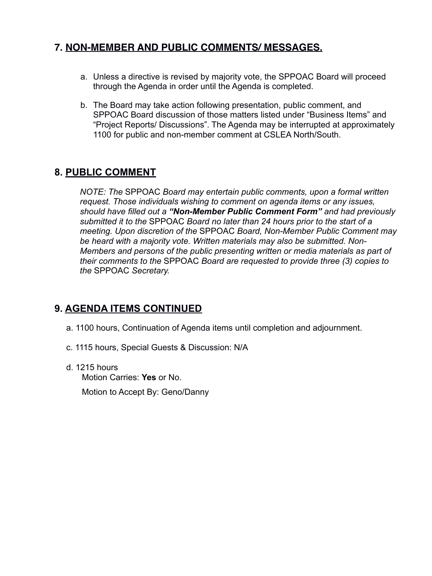### **7. NON-MEMBER AND PUBLIC COMMENTS/ MESSAGES.**

- a. Unless a directive is revised by majority vote, the SPPOAC Board will proceed through the Agenda in order until the Agenda is completed.
- b. The Board may take action following presentation, public comment, and SPPOAC Board discussion of those matters listed under "Business Items" and "Project Reports/ Discussions". The Agenda may be interrupted at approximately 1100 for public and non-member comment at CSLEA North/South.

## **8. PUBLIC COMMENT**

*NOTE: The* SPPOAC *Board may entertain public comments, upon a formal written request. Those individuals wishing to comment on agenda items or any issues, should have filled out a "Non-Member Public Comment Form" and had previously submitted it to the* SPPOAC *Board no later than 24 hours prior to the start of a meeting. Upon discretion of the* SPPOAC *Board, Non-Member Public Comment may be heard with a majority vote. Written materials may also be submitted. Non-Members and persons of the public presenting written or media materials as part of their comments to the* SPPOAC *Board are requested to provide three (3) copies to the* SPPOAC *Secretary.* 

# **9. AGENDA ITEMS CONTINUED**

- a. 1100 hours, Continuation of Agenda items until completion and adjournment.
- c. 1115 hours, Special Guests & Discussion: N/A
- d. 1215 hours Motion Carries: **Yes** or No.

Motion to Accept By: Geno/Danny